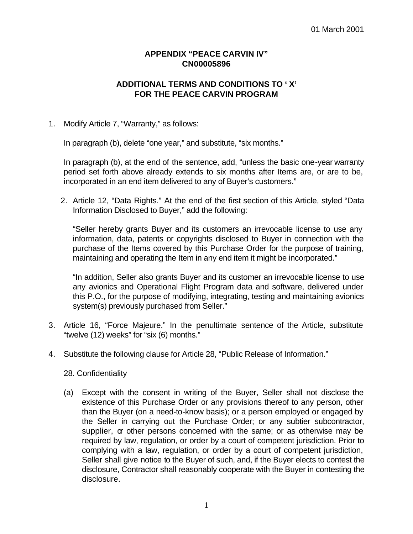# **APPENDIX "PEACE CARVIN IV" CN00005896**

# **ADDITIONAL TERMS AND CONDITIONS TO ' X' FOR THE PEACE CARVIN PROGRAM**

### 1. Modify Article 7, "Warranty," as follows:

In paragraph (b), delete "one year," and substitute, "six months."

In paragraph (b), at the end of the sentence, add, "unless the basic one-year warranty period set forth above already extends to six months after Items are, or are to be, incorporated in an end item delivered to any of Buyer's customers."

2. Article 12, "Data Rights." At the end of the first section of this Article, styled "Data Information Disclosed to Buyer," add the following:

"Seller hereby grants Buyer and its customers an irrevocable license to use any information, data, patents or copyrights disclosed to Buyer in connection with the purchase of the Items covered by this Purchase Order for the purpose of training, maintaining and operating the Item in any end item it might be incorporated."

"In addition, Seller also grants Buyer and its customer an irrevocable license to use any avionics and Operational Flight Program data and software, delivered under this P.O., for the purpose of modifying, integrating, testing and maintaining avionics system(s) previously purchased from Seller."

- 3. Article 16, "Force Majeure." In the penultimate sentence of the Article, substitute "twelve (12) weeks" for "six (6) months."
- 4. Substitute the following clause for Article 28, "Public Release of Information."

#### 28. Confidentiality

(a) Except with the consent in writing of the Buyer, Seller shall not disclose the existence of this Purchase Order or any provisions thereof to any person, other than the Buyer (on a need-to-know basis); or a person employed or engaged by the Seller in carrying out the Purchase Order; or any subtier subcontractor, supplier, or other persons concerned with the same; or as otherwise may be required by law, regulation, or order by a court of competent jurisdiction. Prior to complying with a law, regulation, or order by a court of competent jurisdiction, Seller shall give notice to the Buyer of such, and, if the Buyer elects to contest the disclosure, Contractor shall reasonably cooperate with the Buyer in contesting the disclosure.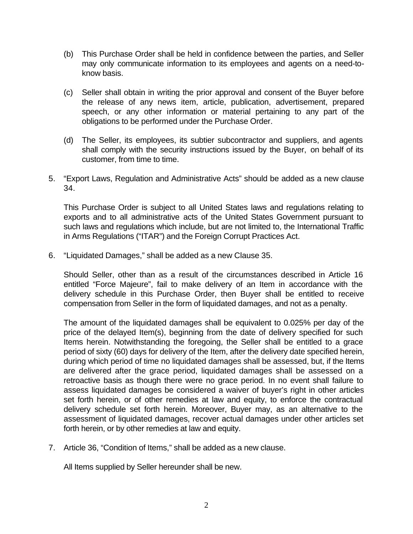- (b) This Purchase Order shall be held in confidence between the parties, and Seller may only communicate information to its employees and agents on a need-toknow basis.
- (c) Seller shall obtain in writing the prior approval and consent of the Buyer before the release of any news item, article, publication, advertisement, prepared speech, or any other information or material pertaining to any part of the obligations to be performed under the Purchase Order.
- (d) The Seller, its employees, its subtier subcontractor and suppliers, and agents shall comply with the security instructions issued by the Buyer, on behalf of its customer, from time to time.
- 5. "Export Laws, Regulation and Administrative Acts" should be added as a new clause 34.

This Purchase Order is subject to all United States laws and regulations relating to exports and to all administrative acts of the United States Government pursuant to such laws and regulations which include, but are not limited to, the International Traffic in Arms Regulations ("ITAR") and the Foreign Corrupt Practices Act.

6. "Liquidated Damages," shall be added as a new Clause 35.

Should Seller, other than as a result of the circumstances described in Article 16 entitled "Force Majeure", fail to make delivery of an Item in accordance with the delivery schedule in this Purchase Order, then Buyer shall be entitled to receive compensation from Seller in the form of liquidated damages, and not as a penalty.

The amount of the liquidated damages shall be equivalent to 0.025% per day of the price of the delayed Item(s), beginning from the date of delivery specified for such Items herein. Notwithstanding the foregoing, the Seller shall be entitled to a grace period of sixty (60) days for delivery of the Item, after the delivery date specified herein, during which period of time no liquidated damages shall be assessed, but, if the Items are delivered after the grace period, liquidated damages shall be assessed on a retroactive basis as though there were no grace period. In no event shall failure to assess liquidated damages be considered a waiver of buyer's right in other articles set forth herein, or of other remedies at law and equity, to enforce the contractual delivery schedule set forth herein. Moreover, Buyer may, as an alternative to the assessment of liquidated damages, recover actual damages under other articles set forth herein, or by other remedies at law and equity.

7. Article 36, "Condition of Items," shall be added as a new clause.

All Items supplied by Seller hereunder shall be new.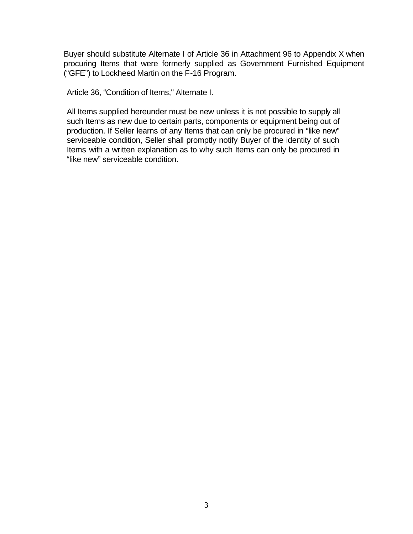Buyer should substitute Alternate I of Article 36 in Attachment 96 to Appendix X when procuring Items that were formerly supplied as Government Furnished Equipment ("GFE") to Lockheed Martin on the F-16 Program.

Article 36, "Condition of Items," Alternate I.

All Items supplied hereunder must be new unless it is not possible to supply all such Items as new due to certain parts, components or equipment being out of production. If Seller learns of any Items that can only be procured in "like new" serviceable condition, Seller shall promptly notify Buyer of the identity of such Items with a written explanation as to why such Items can only be procured in "like new" serviceable condition.